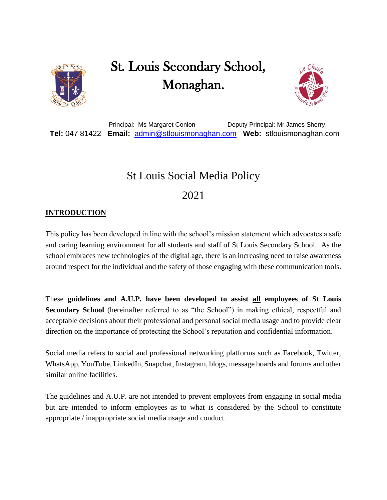

## St. Louis Secondary School, Monaghan.



Principal: Ms Margaret Conlon Deputy Principal: Mr James Sherry.  **Tel:** 047 81422 **Email:** [admin@stlouismonaghan.com](mailto:admin@stlouismonaghan.com) **Web:** stlouismonaghan.com

# St Louis Social Media Policy

## 2021

### **INTRODUCTION**

This policy has been developed in line with the school's mission statement which advocates a safe and caring learning environment for all students and staff of St Louis Secondary School. As the school embraces new technologies of the digital age, there is an increasing need to raise awareness around respect for the individual and the safety of those engaging with these communication tools.

These **guidelines and A.U.P. have been developed to assist all employees of St Louis Secondary School** (hereinafter referred to as "the School") in making ethical, respectful and acceptable decisions about their professional and personal social media usage and to provide clear direction on the importance of protecting the School's reputation and confidential information.

Social media refers to social and professional networking platforms such as Facebook, Twitter, WhatsApp, YouTube, LinkedIn, Snapchat, Instagram, blogs, message boards and forums and other similar online facilities.

The guidelines and A.U.P. are not intended to prevent employees from engaging in social media but are intended to inform employees as to what is considered by the School to constitute appropriate / inappropriate social media usage and conduct.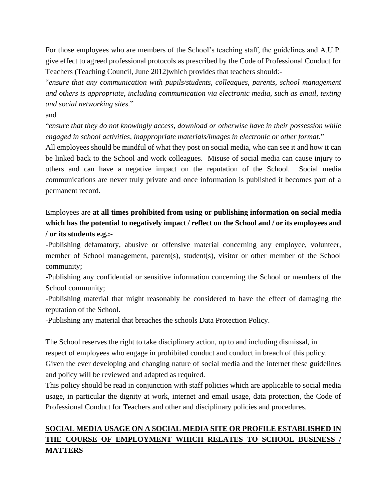For those employees who are members of the School's teaching staff, the guidelines and A.U.P. give effect to agreed professional protocols as prescribed by the Code of Professional Conduct for Teachers (Teaching Council, June 2012)which provides that teachers should:-

"*ensure that any communication with pupils/students, colleagues, parents, school management and others is appropriate, including communication via electronic media, such as email, texting and social networking sites.*"

and

"*ensure that they do not knowingly access, download or otherwise have in their possession while engaged in school activities, inappropriate materials/images in electronic or other format.*"

All employees should be mindful of what they post on social media, who can see it and how it can be linked back to the School and work colleagues. Misuse of social media can cause injury to others and can have a negative impact on the reputation of the School. Social media communications are never truly private and once information is published it becomes part of a permanent record.

## Employees are **at all times prohibited from using or publishing information on social media which has the potential to negatively impact / reflect on the School and / or its employees and / or its students e.g.:-**

-Publishing defamatory, abusive or offensive material concerning any employee, volunteer, member of School management, parent(s), student(s), visitor or other member of the School community;

-Publishing any confidential or sensitive information concerning the School or members of the School community;

-Publishing material that might reasonably be considered to have the effect of damaging the reputation of the School.

-Publishing any material that breaches the schools Data Protection Policy.

The School reserves the right to take disciplinary action, up to and including dismissal, in respect of employees who engage in prohibited conduct and conduct in breach of this policy. Given the ever developing and changing nature of social media and the internet these guidelines and policy will be reviewed and adapted as required.

This policy should be read in conjunction with staff policies which are applicable to social media usage, in particular the dignity at work, internet and email usage, data protection, the Code of Professional Conduct for Teachers and other and disciplinary policies and procedures.

## **SOCIAL MEDIA USAGE ON A SOCIAL MEDIA SITE OR PROFILE ESTABLISHED IN THE COURSE OF EMPLOYMENT WHICH RELATES TO SCHOOL BUSINESS / MATTERS**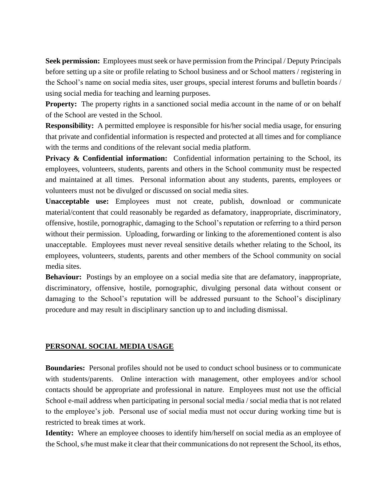**Seek permission:** Employees must seek or have permission from the Principal / Deputy Principals before setting up a site or profile relating to School business and or School matters / registering in the School's name on social media sites, user groups, special interest forums and bulletin boards / using social media for teaching and learning purposes.

**Property:** The property rights in a sanctioned social media account in the name of or on behalf of the School are vested in the School.

**Responsibility:** A permitted employee is responsible for his/her social media usage, for ensuring that private and confidential information is respected and protected at all times and for compliance with the terms and conditions of the relevant social media platform.

**Privacy & Confidential information:** Confidential information pertaining to the School, its employees, volunteers, students, parents and others in the School community must be respected and maintained at all times. Personal information about any students, parents, employees or volunteers must not be divulged or discussed on social media sites.

**Unacceptable use:** Employees must not create, publish, download or communicate material/content that could reasonably be regarded as defamatory, inappropriate, discriminatory, offensive, hostile, pornographic, damaging to the School's reputation or referring to a third person without their permission. Uploading, forwarding or linking to the aforementioned content is also unacceptable. Employees must never reveal sensitive details whether relating to the School, its employees, volunteers, students, parents and other members of the School community on social media sites.

**Behaviour:** Postings by an employee on a social media site that are defamatory, inappropriate, discriminatory, offensive, hostile, pornographic, divulging personal data without consent or damaging to the School's reputation will be addressed pursuant to the School's disciplinary procedure and may result in disciplinary sanction up to and including dismissal.

#### **PERSONAL SOCIAL MEDIA USAGE**

**Boundaries:** Personal profiles should not be used to conduct school business or to communicate with students/parents. Online interaction with management, other employees and/or school contacts should be appropriate and professional in nature. Employees must not use the official School e-mail address when participating in personal social media / social media that is not related to the employee's job. Personal use of social media must not occur during working time but is restricted to break times at work.

**Identity:** Where an employee chooses to identify him/herself on social media as an employee of the School, s/he must make it clear that their communications do not represent the School, its ethos,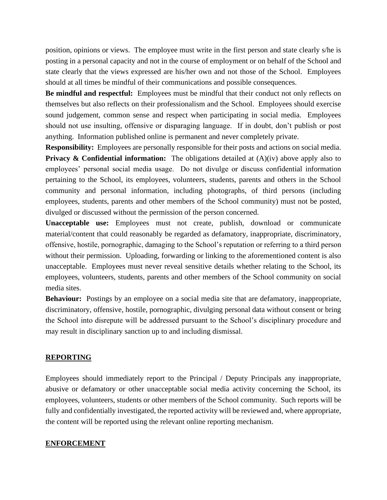position, opinions or views. The employee must write in the first person and state clearly s/he is posting in a personal capacity and not in the course of employment or on behalf of the School and state clearly that the views expressed are his/her own and not those of the School. Employees should at all times be mindful of their communications and possible consequences.

**Be mindful and respectful:** Employees must be mindful that their conduct not only reflects on themselves but also reflects on their professionalism and the School. Employees should exercise sound judgement, common sense and respect when participating in social media. Employees should not use insulting, offensive or disparaging language. If in doubt, don't publish or post anything. Information published online is permanent and never completely private.

**Responsibility:** Employees are personally responsible for their posts and actions on social media. **Privacy & Confidential information:** The obligations detailed at (A)(iv) above apply also to employees' personal social media usage. Do not divulge or discuss confidential information pertaining to the School, its employees, volunteers, students, parents and others in the School community and personal information, including photographs, of third persons (including employees, students, parents and other members of the School community) must not be posted, divulged or discussed without the permission of the person concerned.

**Unacceptable use:** Employees must not create, publish, download or communicate material/content that could reasonably be regarded as defamatory, inappropriate, discriminatory, offensive, hostile, pornographic, damaging to the School's reputation or referring to a third person without their permission. Uploading, forwarding or linking to the aforementioned content is also unacceptable. Employees must never reveal sensitive details whether relating to the School, its employees, volunteers, students, parents and other members of the School community on social media sites.

**Behaviour:** Postings by an employee on a social media site that are defamatory, inappropriate, discriminatory, offensive, hostile, pornographic, divulging personal data without consent or bring the School into disrepute will be addressed pursuant to the School's disciplinary procedure and may result in disciplinary sanction up to and including dismissal.

#### **REPORTING**

Employees should immediately report to the Principal / Deputy Principals any inappropriate, abusive or defamatory or other unacceptable social media activity concerning the School, its employees, volunteers, students or other members of the School community. Such reports will be fully and confidentially investigated, the reported activity will be reviewed and, where appropriate, the content will be reported using the relevant online reporting mechanism.

#### **ENFORCEMENT**